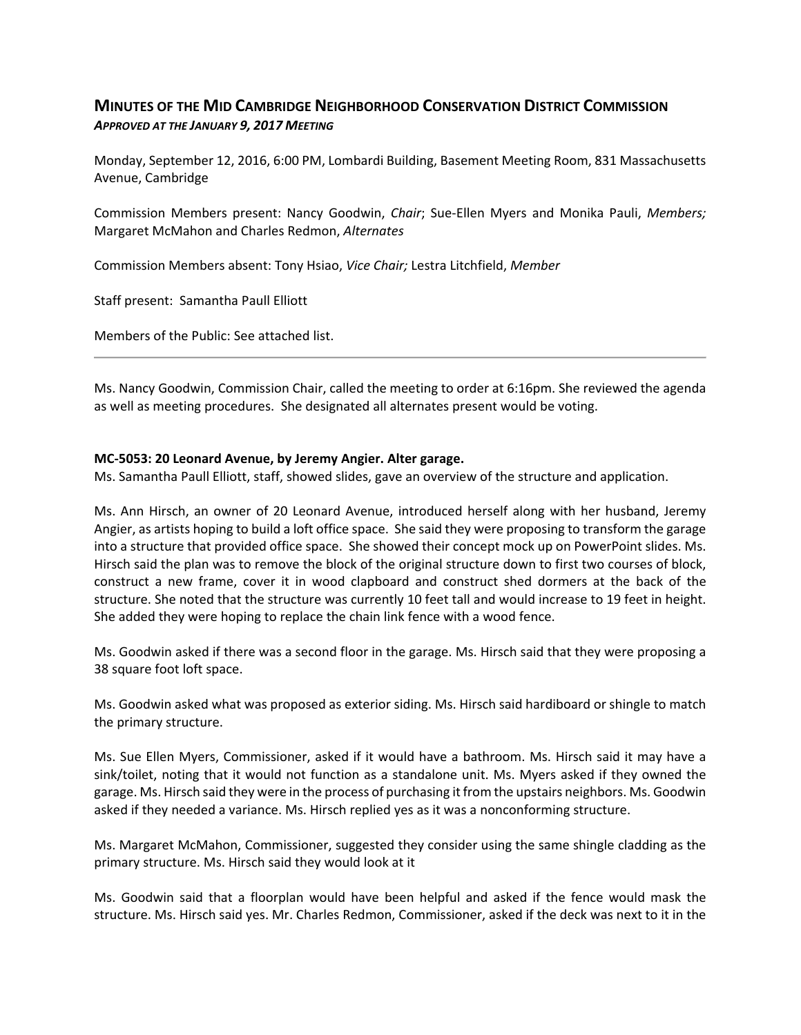# **MINUTES OF THE MID CAMBRIDGE NEIGHBORHOOD CONSERVATION DISTRICT COMMISSION** *APPROVED AT THE JANUARY 9, 2017 MEETING*

Monday, September 12, 2016, 6:00 PM, Lombardi Building, Basement Meeting Room, 831 Massachusetts Avenue, Cambridge

Commission Members present: Nancy Goodwin, *Chair*; Sue‐Ellen Myers and Monika Pauli, *Members;* Margaret McMahon and Charles Redmon, *Alternates*

Commission Members absent: Tony Hsiao, *Vice Chair;* Lestra Litchfield, *Member*

Staff present: Samantha Paull Elliott

Members of the Public: See attached list.

Ms. Nancy Goodwin, Commission Chair, called the meeting to order at 6:16pm. She reviewed the agenda as well as meeting procedures. She designated all alternates present would be voting.

#### **MC‐5053: 20 Leonard Avenue, by Jeremy Angier. Alter garage.**

Ms. Samantha Paull Elliott, staff, showed slides, gave an overview of the structure and application.

Ms. Ann Hirsch, an owner of 20 Leonard Avenue, introduced herself along with her husband, Jeremy Angier, as artists hoping to build a loft office space. She said they were proposing to transform the garage into a structure that provided office space. She showed their concept mock up on PowerPoint slides. Ms. Hirsch said the plan was to remove the block of the original structure down to first two courses of block, construct a new frame, cover it in wood clapboard and construct shed dormers at the back of the structure. She noted that the structure was currently 10 feet tall and would increase to 19 feet in height. She added they were hoping to replace the chain link fence with a wood fence.

Ms. Goodwin asked if there was a second floor in the garage. Ms. Hirsch said that they were proposing a 38 square foot loft space.

Ms. Goodwin asked what was proposed as exterior siding. Ms. Hirsch said hardiboard or shingle to match the primary structure.

Ms. Sue Ellen Myers, Commissioner, asked if it would have a bathroom. Ms. Hirsch said it may have a sink/toilet, noting that it would not function as a standalone unit. Ms. Myers asked if they owned the garage. Ms. Hirsch said they were in the process of purchasing it from the upstairs neighbors. Ms. Goodwin asked if they needed a variance. Ms. Hirsch replied yes as it was a nonconforming structure.

Ms. Margaret McMahon, Commissioner, suggested they consider using the same shingle cladding as the primary structure. Ms. Hirsch said they would look at it

Ms. Goodwin said that a floorplan would have been helpful and asked if the fence would mask the structure. Ms. Hirsch said yes. Mr. Charles Redmon, Commissioner, asked if the deck was next to it in the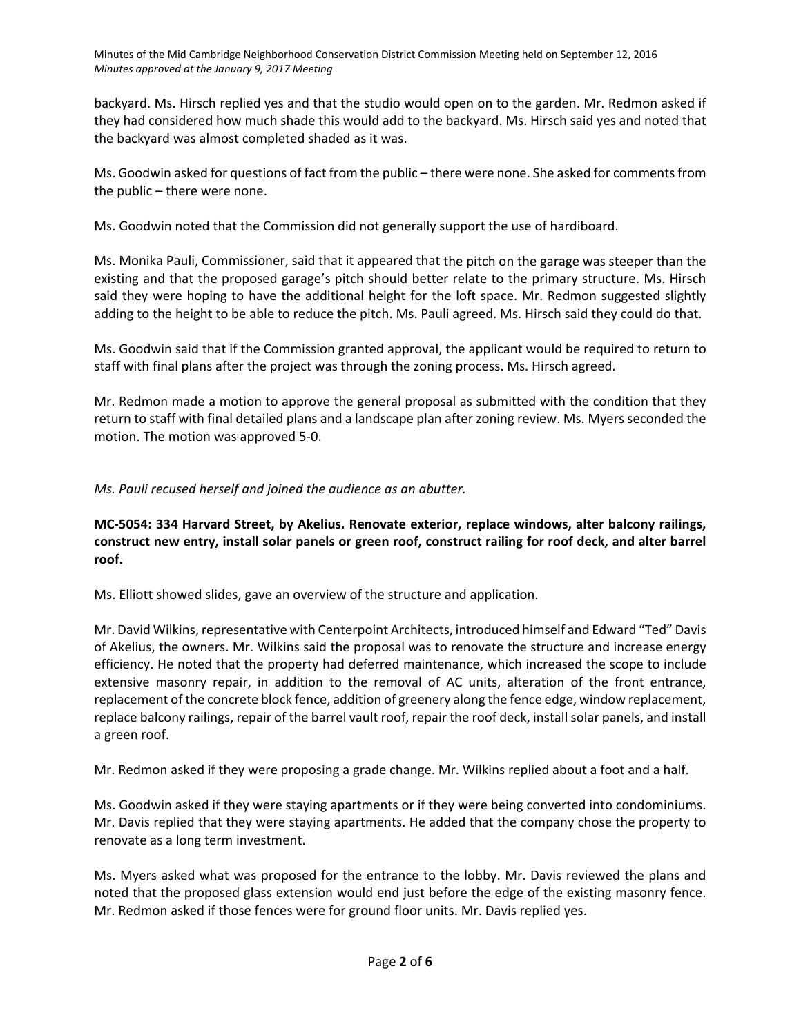backyard. Ms. Hirsch replied yes and that the studio would open on to the garden. Mr. Redmon asked if they had considered how much shade this would add to the backyard. Ms. Hirsch said yes and noted that the backyard was almost completed shaded as it was.

Ms. Goodwin asked for questions of fact from the public – there were none. She asked for commentsfrom the public – there were none.

Ms. Goodwin noted that the Commission did not generally support the use of hardiboard.

Ms. Monika Pauli, Commissioner, said that it appeared that the pitch on the garage was steeper than the existing and that the proposed garage's pitch should better relate to the primary structure. Ms. Hirsch said they were hoping to have the additional height for the loft space. Mr. Redmon suggested slightly adding to the height to be able to reduce the pitch. Ms. Pauli agreed. Ms. Hirsch said they could do that.

Ms. Goodwin said that if the Commission granted approval, the applicant would be required to return to staff with final plans after the project was through the zoning process. Ms. Hirsch agreed.

Mr. Redmon made a motion to approve the general proposal as submitted with the condition that they return to staff with final detailed plans and a landscape plan after zoning review. Ms. Myers seconded the motion. The motion was approved 5‐0.

*Ms. Pauli recused herself and joined the audience as an abutter.*

**MC‐5054: 334 Harvard Street, by Akelius. Renovate exterior, replace windows, alter balcony railings,** construct new entry, install solar panels or green roof, construct railing for roof deck, and alter barrel **roof.**

Ms. Elliott showed slides, gave an overview of the structure and application.

Mr. David Wilkins, representative with Centerpoint Architects, introduced himself and Edward "Ted" Davis of Akelius, the owners. Mr. Wilkins said the proposal was to renovate the structure and increase energy efficiency. He noted that the property had deferred maintenance, which increased the scope to include extensive masonry repair, in addition to the removal of AC units, alteration of the front entrance, replacement of the concrete block fence, addition of greenery along the fence edge, window replacement, replace balcony railings, repair of the barrel vault roof, repair the roof deck, install solar panels, and install a green roof.

Mr. Redmon asked if they were proposing a grade change. Mr. Wilkins replied about a foot and a half.

Ms. Goodwin asked if they were staying apartments or if they were being converted into condominiums. Mr. Davis replied that they were staying apartments. He added that the company chose the property to renovate as a long term investment.

Ms. Myers asked what was proposed for the entrance to the lobby. Mr. Davis reviewed the plans and noted that the proposed glass extension would end just before the edge of the existing masonry fence. Mr. Redmon asked if those fences were for ground floor units. Mr. Davis replied yes.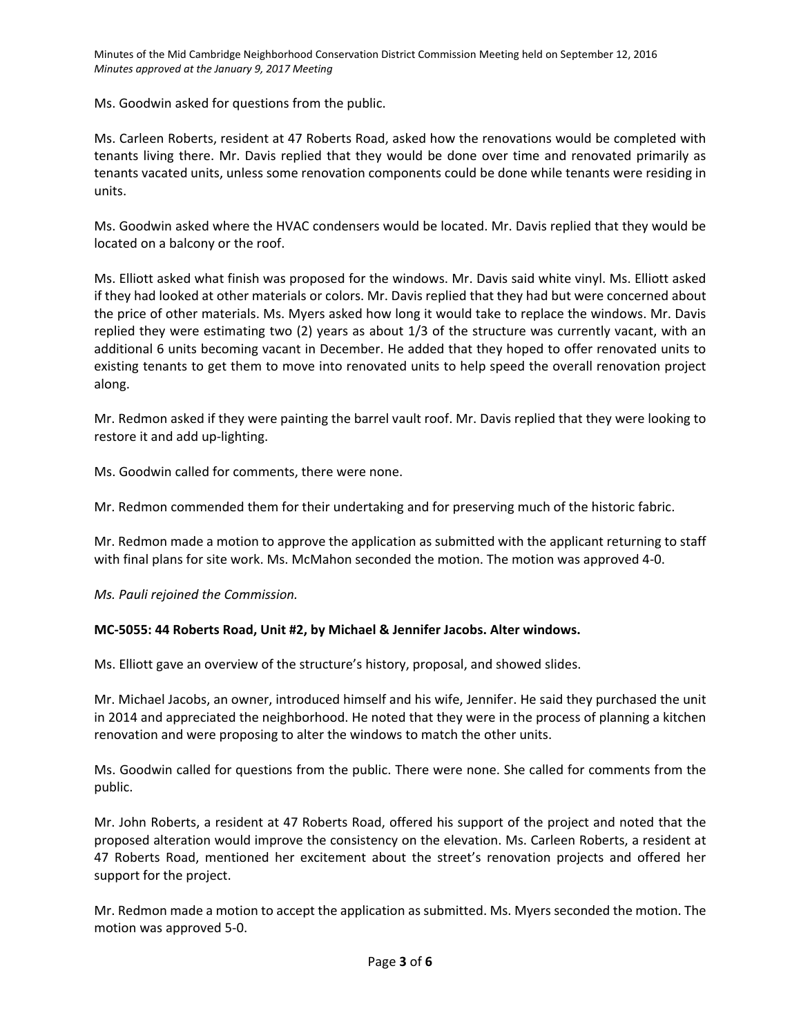Ms. Goodwin asked for questions from the public.

Ms. Carleen Roberts, resident at 47 Roberts Road, asked how the renovations would be completed with tenants living there. Mr. Davis replied that they would be done over time and renovated primarily as tenants vacated units, unless some renovation components could be done while tenants were residing in units.

Ms. Goodwin asked where the HVAC condensers would be located. Mr. Davis replied that they would be located on a balcony or the roof.

Ms. Elliott asked what finish was proposed for the windows. Mr. Davis said white vinyl. Ms. Elliott asked if they had looked at other materials or colors. Mr. Davis replied that they had but were concerned about the price of other materials. Ms. Myers asked how long it would take to replace the windows. Mr. Davis replied they were estimating two (2) years as about 1/3 of the structure was currently vacant, with an additional 6 units becoming vacant in December. He added that they hoped to offer renovated units to existing tenants to get them to move into renovated units to help speed the overall renovation project along.

Mr. Redmon asked if they were painting the barrel vault roof. Mr. Davis replied that they were looking to restore it and add up‐lighting.

Ms. Goodwin called for comments, there were none.

Mr. Redmon commended them for their undertaking and for preserving much of the historic fabric.

Mr. Redmon made a motion to approve the application as submitted with the applicant returning to staff with final plans for site work. Ms. McMahon seconded the motion. The motion was approved 4‐0.

*Ms. Pauli rejoined the Commission.*

### **MC‐5055: 44 Roberts Road, Unit #2, by Michael & Jennifer Jacobs. Alter windows.**

Ms. Elliott gave an overview of the structure's history, proposal, and showed slides.

Mr. Michael Jacobs, an owner, introduced himself and his wife, Jennifer. He said they purchased the unit in 2014 and appreciated the neighborhood. He noted that they were in the process of planning a kitchen renovation and were proposing to alter the windows to match the other units.

Ms. Goodwin called for questions from the public. There were none. She called for comments from the public.

Mr. John Roberts, a resident at 47 Roberts Road, offered his support of the project and noted that the proposed alteration would improve the consistency on the elevation. Ms. Carleen Roberts, a resident at 47 Roberts Road, mentioned her excitement about the street's renovation projects and offered her support for the project.

Mr. Redmon made a motion to accept the application as submitted. Ms. Myers seconded the motion. The motion was approved 5‐0.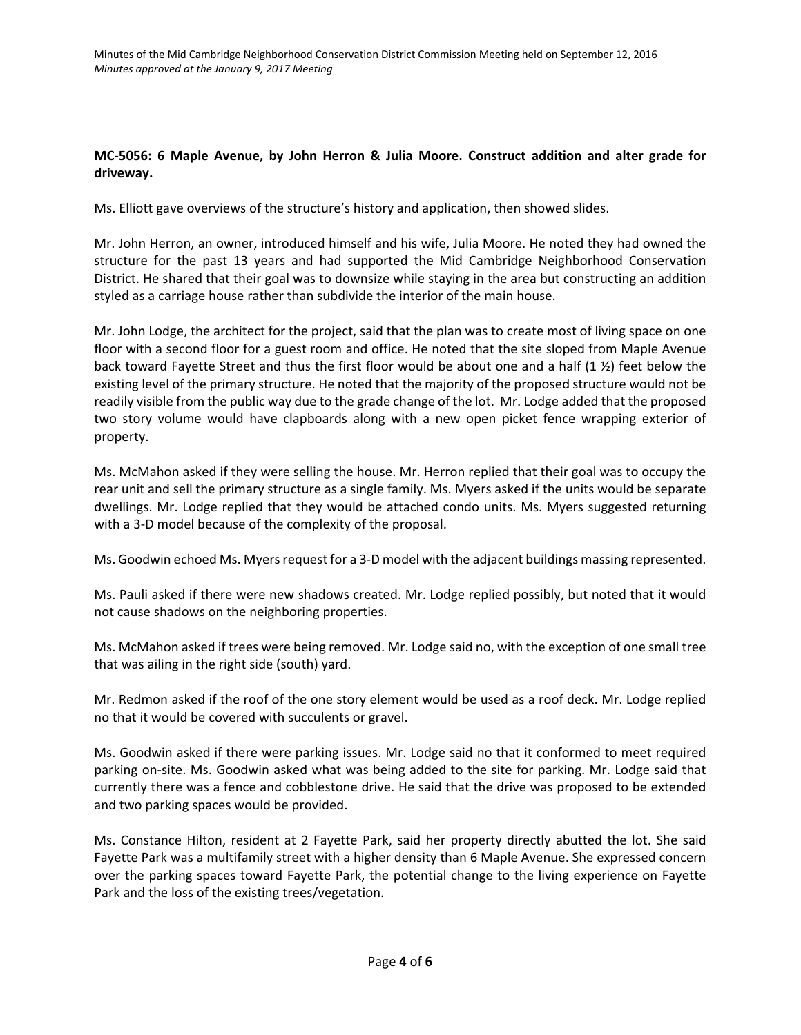### **MC‐5056: 6 Maple Avenue, by John Herron & Julia Moore. Construct addition and alter grade for driveway.**

Ms. Elliott gave overviews of the structure's history and application, then showed slides.

Mr. John Herron, an owner, introduced himself and his wife, Julia Moore. He noted they had owned the structure for the past 13 years and had supported the Mid Cambridge Neighborhood Conservation District. He shared that their goal was to downsize while staying in the area but constructing an addition styled as a carriage house rather than subdivide the interior of the main house.

Mr. John Lodge, the architect for the project, said that the plan was to create most of living space on one floor with a second floor for a guest room and office. He noted that the site sloped from Maple Avenue back toward Fayette Street and thus the first floor would be about one and a half (1 ½) feet below the existing level of the primary structure. He noted that the majority of the proposed structure would not be readily visible from the public way due to the grade change of the lot. Mr. Lodge added that the proposed two story volume would have clapboards along with a new open picket fence wrapping exterior of property.

Ms. McMahon asked if they were selling the house. Mr. Herron replied that their goal was to occupy the rear unit and sell the primary structure as a single family. Ms. Myers asked if the units would be separate dwellings. Mr. Lodge replied that they would be attached condo units. Ms. Myers suggested returning with a 3‐D model because of the complexity of the proposal.

Ms. Goodwin echoed Ms. Myers request for a 3-D model with the adjacent buildings massing represented.

Ms. Pauli asked if there were new shadows created. Mr. Lodge replied possibly, but noted that it would not cause shadows on the neighboring properties.

Ms. McMahon asked if trees were being removed. Mr. Lodge said no, with the exception of one small tree that was ailing in the right side (south) yard.

Mr. Redmon asked if the roof of the one story element would be used as a roof deck. Mr. Lodge replied no that it would be covered with succulents or gravel.

Ms. Goodwin asked if there were parking issues. Mr. Lodge said no that it conformed to meet required parking on‐site. Ms. Goodwin asked what was being added to the site for parking. Mr. Lodge said that currently there was a fence and cobblestone drive. He said that the drive was proposed to be extended and two parking spaces would be provided.

Ms. Constance Hilton, resident at 2 Fayette Park, said her property directly abutted the lot. She said Fayette Park was a multifamily street with a higher density than 6 Maple Avenue. She expressed concern over the parking spaces toward Fayette Park, the potential change to the living experience on Fayette Park and the loss of the existing trees/vegetation.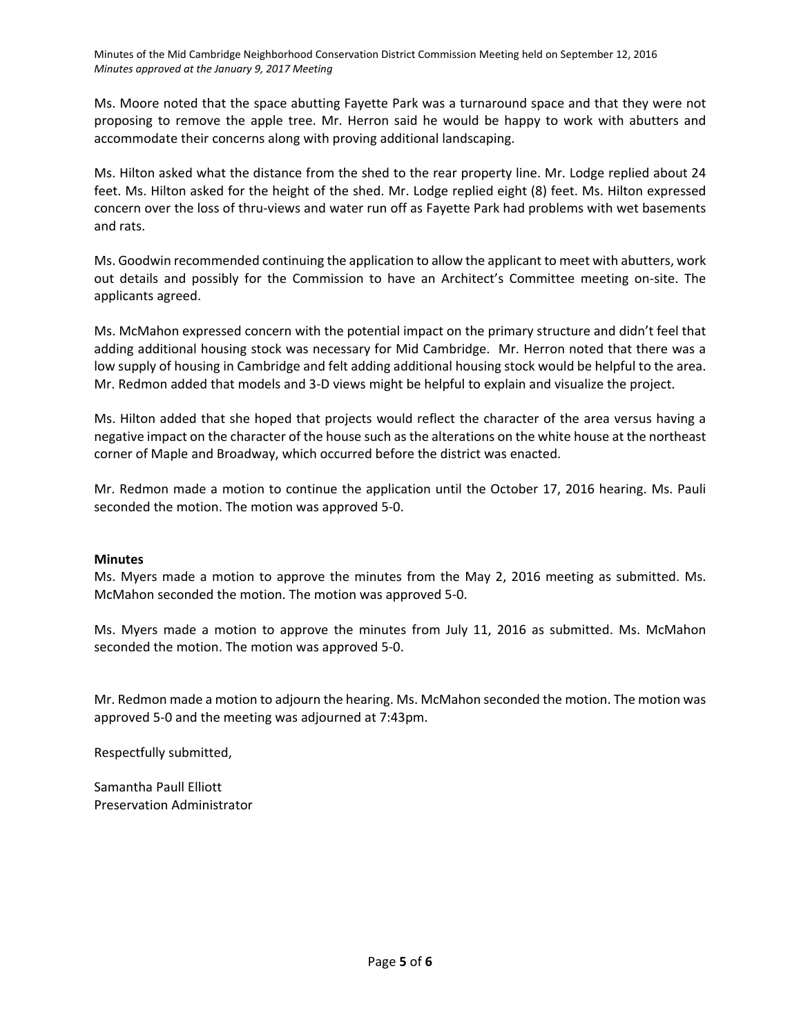Ms. Moore noted that the space abutting Fayette Park was a turnaround space and that they were not proposing to remove the apple tree. Mr. Herron said he would be happy to work with abutters and accommodate their concerns along with proving additional landscaping.

Ms. Hilton asked what the distance from the shed to the rear property line. Mr. Lodge replied about 24 feet. Ms. Hilton asked for the height of the shed. Mr. Lodge replied eight (8) feet. Ms. Hilton expressed concern over the loss of thru-views and water run off as Fayette Park had problems with wet basements and rats.

Ms. Goodwin recommended continuing the application to allow the applicant to meet with abutters, work out details and possibly for the Commission to have an Architect's Committee meeting on‐site. The applicants agreed.

Ms. McMahon expressed concern with the potential impact on the primary structure and didn't feel that adding additional housing stock was necessary for Mid Cambridge. Mr. Herron noted that there was a low supply of housing in Cambridge and felt adding additional housing stock would be helpful to the area. Mr. Redmon added that models and 3‐D views might be helpful to explain and visualize the project.

Ms. Hilton added that she hoped that projects would reflect the character of the area versus having a negative impact on the character of the house such as the alterations on the white house at the northeast corner of Maple and Broadway, which occurred before the district was enacted.

Mr. Redmon made a motion to continue the application until the October 17, 2016 hearing. Ms. Pauli seconded the motion. The motion was approved 5‐0.

#### **Minutes**

Ms. Myers made a motion to approve the minutes from the May 2, 2016 meeting as submitted. Ms. McMahon seconded the motion. The motion was approved 5‐0.

Ms. Myers made a motion to approve the minutes from July 11, 2016 as submitted. Ms. McMahon seconded the motion. The motion was approved 5‐0.

Mr. Redmon made a motion to adjourn the hearing. Ms. McMahon seconded the motion. The motion was approved 5‐0 and the meeting was adjourned at 7:43pm.

Respectfully submitted,

Samantha Paull Elliott Preservation Administrator